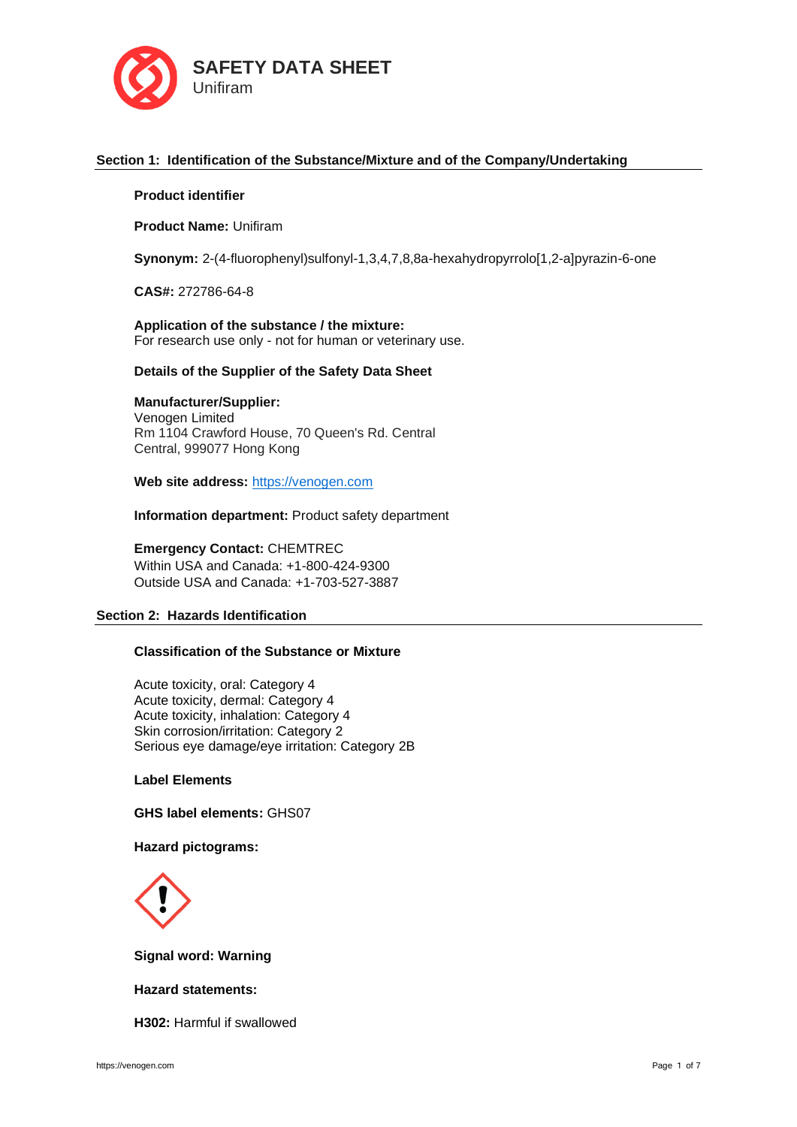

# **Section 1: Identification of the Substance/Mixture and of the Company/Undertaking**

## **Product identifier**

**Product Name:** Unifiram

**Synonym:** 2-(4-fluorophenyl)sulfonyl-1,3,4,7,8,8a-hexahydropyrrolo[1,2-a]pyrazin-6-one

**CAS#:** 272786-64-8

**Application of the substance / the mixture:** For research use only - not for human or veterinary use.

### **Details of the Supplier of the Safety Data Sheet**

# **Manufacturer/Supplier:**

Venogen Limited Rm 1104 Crawford House, 70 Queen's Rd. Central Central, 999077 Hong Kong

**Web site address:** [https://venogen.com](https://venogen.com/)

**Information department:** Product safety department

**Emergency Contact:** CHEMTREC Within USA and Canada: +1-800-424-9300 Outside USA and Canada: +1-703-527-3887

### **Section 2: Hazards Identification**

# **Classification of the Substance or Mixture**

Acute toxicity, oral: Category 4 Acute toxicity, dermal: Category 4 Acute toxicity, inhalation: Category 4 Skin corrosion/irritation: Category 2 Serious eye damage/eye irritation: Category 2B

**Label Elements**

**GHS label elements:** GHS07

# **Hazard pictograms:**



**Signal word: Warning**

## **Hazard statements:**

**H302:** Harmful if swallowed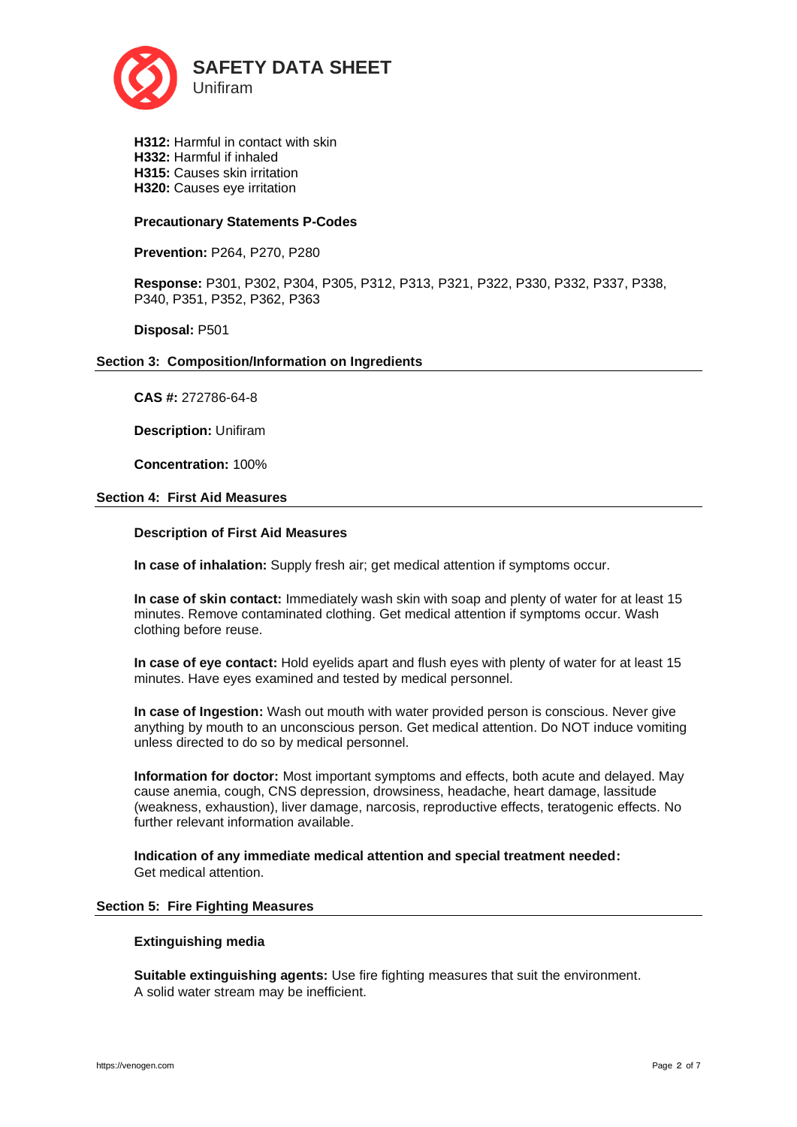

**H312:** Harmful in contact with skin **H332:** Harmful if inhaled **H315:** Causes skin irritation **H320:** Causes eye irritation

## **Precautionary Statements P-Codes**

**Prevention:** P264, P270, P280

**Response:** P301, P302, P304, P305, P312, P313, P321, P322, P330, P332, P337, P338, P340, P351, P352, P362, P363

**Disposal:** P501

## **Section 3: Composition/Information on Ingredients**

**CAS #:** 272786-64-8

**Description:** Unifiram

**Concentration:** 100%

## **Section 4: First Aid Measures**

## **Description of First Aid Measures**

**In case of inhalation:** Supply fresh air; get medical attention if symptoms occur.

**In case of skin contact:** Immediately wash skin with soap and plenty of water for at least 15 minutes. Remove contaminated clothing. Get medical attention if symptoms occur. Wash clothing before reuse.

**In case of eye contact:** Hold eyelids apart and flush eyes with plenty of water for at least 15 minutes. Have eyes examined and tested by medical personnel.

**In case of Ingestion:** Wash out mouth with water provided person is conscious. Never give anything by mouth to an unconscious person. Get medical attention. Do NOT induce vomiting unless directed to do so by medical personnel.

**Information for doctor:** Most important symptoms and effects, both acute and delayed. May cause anemia, cough, CNS depression, drowsiness, headache, heart damage, lassitude (weakness, exhaustion), liver damage, narcosis, reproductive effects, teratogenic effects. No further relevant information available.

**Indication of any immediate medical attention and special treatment needed:**  Get medical attention.

### **Section 5: Fire Fighting Measures**

### **Extinguishing media**

**Suitable extinguishing agents:** Use fire fighting measures that suit the environment. A solid water stream may be inefficient.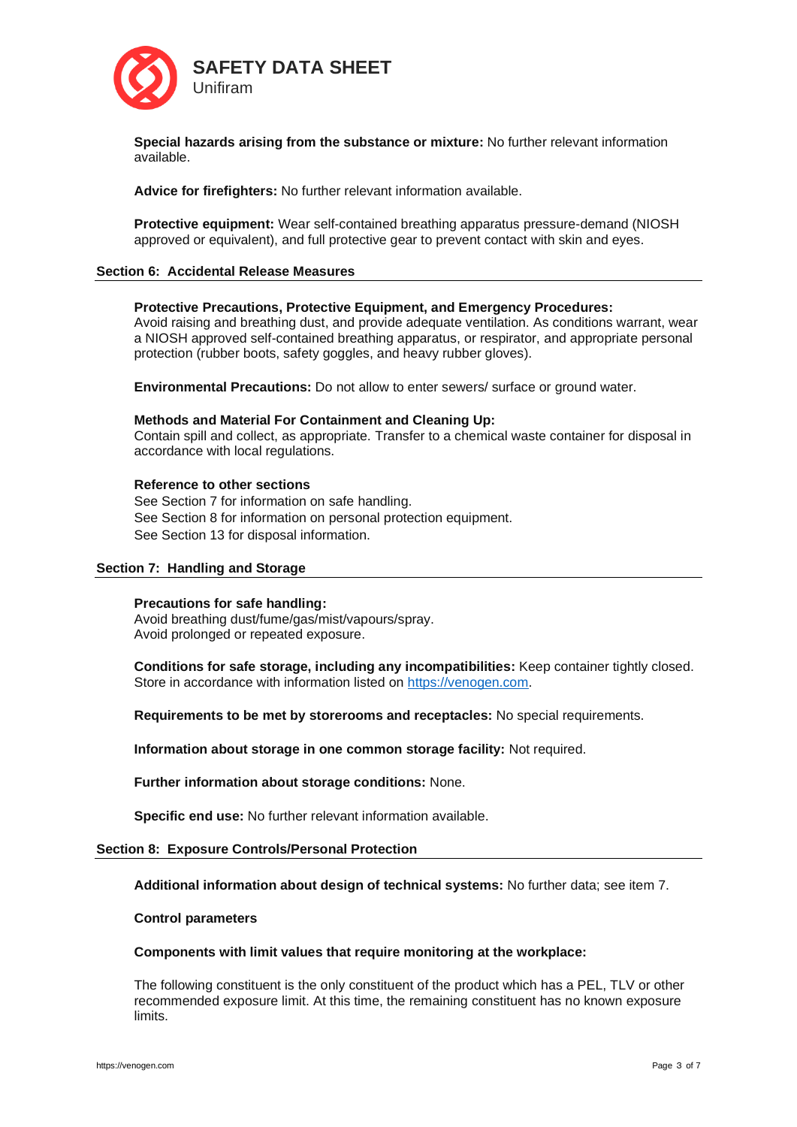

**Special hazards arising from the substance or mixture:** No further relevant information available.

**Advice for firefighters:** No further relevant information available.

**Protective equipment:** Wear self-contained breathing apparatus pressure-demand (NIOSH approved or equivalent), and full protective gear to prevent contact with skin and eyes.

### **Section 6: Accidental Release Measures**

## **Protective Precautions, Protective Equipment, and Emergency Procedures:**

Avoid raising and breathing dust, and provide adequate ventilation. As conditions warrant, wear a NIOSH approved self-contained breathing apparatus, or respirator, and appropriate personal protection (rubber boots, safety goggles, and heavy rubber gloves).

**Environmental Precautions:** Do not allow to enter sewers/ surface or ground water.

### **Methods and Material For Containment and Cleaning Up:**

Contain spill and collect, as appropriate. Transfer to a chemical waste container for disposal in accordance with local regulations.

### **Reference to other sections**

See Section 7 for information on safe handling. See Section 8 for information on personal protection equipment. See Section 13 for disposal information.

### **Section 7: Handling and Storage**

### **Precautions for safe handling:**

Avoid breathing dust/fume/gas/mist/vapours/spray. Avoid prolonged or repeated exposure.

**Conditions for safe storage, including any incompatibilities:** Keep container tightly closed. Store in accordance with information listed on [https://venogen.com.](https://venogen.com/)

**Requirements to be met by storerooms and receptacles:** No special requirements.

**Information about storage in one common storage facility:** Not required.

**Further information about storage conditions:** None.

**Specific end use:** No further relevant information available.

### **Section 8: Exposure Controls/Personal Protection**

**Additional information about design of technical systems:** No further data; see item 7.

### **Control parameters**

### **Components with limit values that require monitoring at the workplace:**

The following constituent is the only constituent of the product which has a PEL, TLV or other recommended exposure limit. At this time, the remaining constituent has no known exposure limits.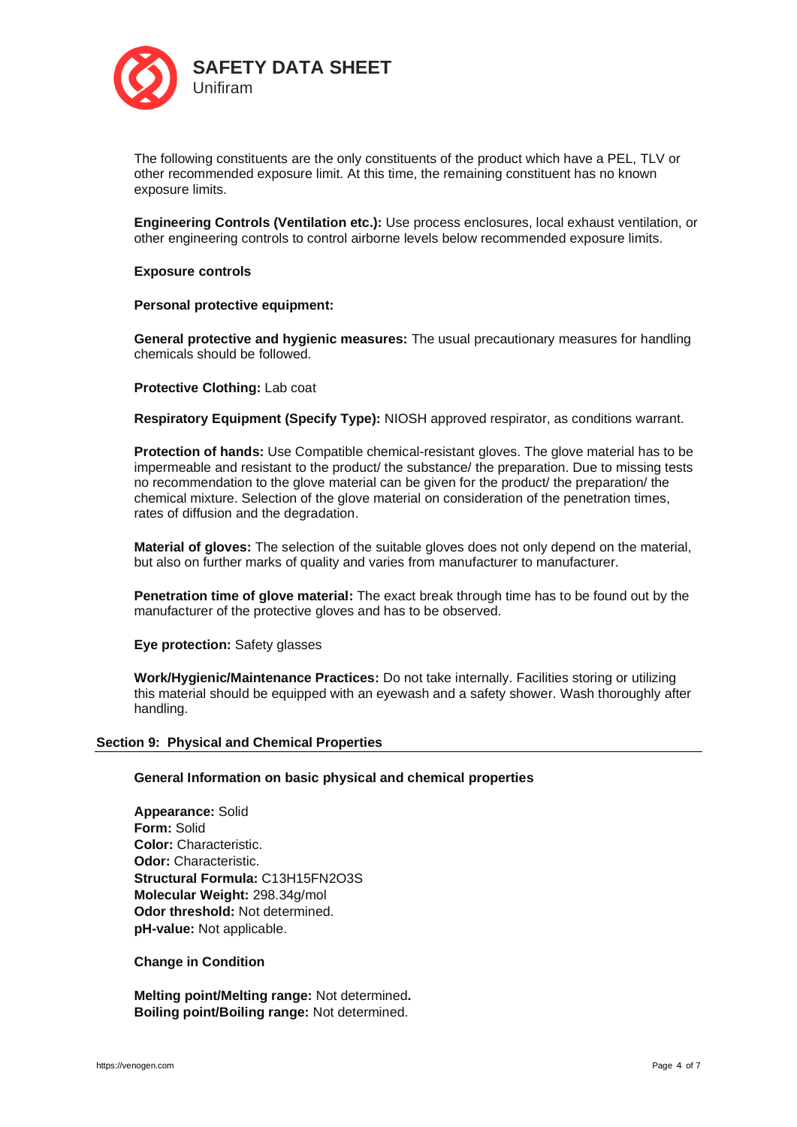

The following constituents are the only constituents of the product which have a PEL, TLV or other recommended exposure limit. At this time, the remaining constituent has no known exposure limits.

**Engineering Controls (Ventilation etc.):** Use process enclosures, local exhaust ventilation, or other engineering controls to control airborne levels below recommended exposure limits.

## **Exposure controls**

### **Personal protective equipment:**

**General protective and hygienic measures:** The usual precautionary measures for handling chemicals should be followed.

## **Protective Clothing:** Lab coat

**Respiratory Equipment (Specify Type):** NIOSH approved respirator, as conditions warrant.

**Protection of hands:** Use Compatible chemical-resistant gloves. The glove material has to be impermeable and resistant to the product/ the substance/ the preparation. Due to missing tests no recommendation to the glove material can be given for the product/ the preparation/ the chemical mixture. Selection of the glove material on consideration of the penetration times, rates of diffusion and the degradation.

**Material of gloves:** The selection of the suitable gloves does not only depend on the material, but also on further marks of quality and varies from manufacturer to manufacturer.

**Penetration time of glove material:** The exact break through time has to be found out by the manufacturer of the protective gloves and has to be observed.

**Eye protection:** Safety glasses

**Work/Hygienic/Maintenance Practices:** Do not take internally. Facilities storing or utilizing this material should be equipped with an eyewash and a safety shower. Wash thoroughly after handling.

### **Section 9: Physical and Chemical Properties**

### **General Information on basic physical and chemical properties**

**Appearance:** Solid **Form:** Solid **Color:** Characteristic. **Odor:** Characteristic. **Structural Formula:** C13H15FN2O3S **Molecular Weight:** 298.34g/mol **Odor threshold:** Not determined. **pH-value:** Not applicable.

### **Change in Condition**

**Melting point/Melting range:** Not determined**. Boiling point/Boiling range:** Not determined.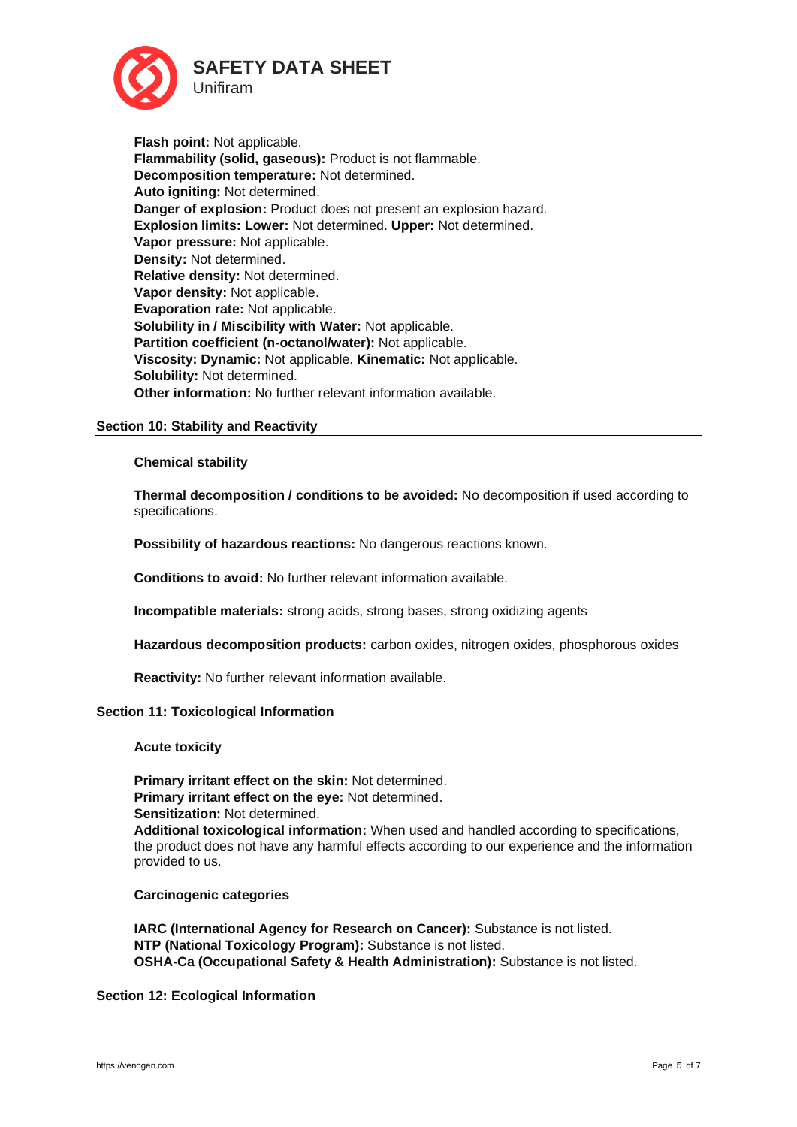

**Flash point:** Not applicable. **Flammability (solid, gaseous):** Product is not flammable. **Decomposition temperature:** Not determined. **Auto igniting:** Not determined. **Danger of explosion:** Product does not present an explosion hazard. **Explosion limits: Lower:** Not determined. **Upper:** Not determined. **Vapor pressure:** Not applicable. **Density:** Not determined. **Relative density:** Not determined. **Vapor density:** Not applicable. **Evaporation rate:** Not applicable. **Solubility in / Miscibility with Water:** Not applicable. **Partition coefficient (n-octanol/water):** Not applicable. **Viscosity: Dynamic:** Not applicable. **Kinematic:** Not applicable. **Solubility:** Not determined. **Other information:** No further relevant information available.

## **Section 10: Stability and Reactivity**

## **Chemical stability**

**Thermal decomposition / conditions to be avoided:** No decomposition if used according to specifications.

**Possibility of hazardous reactions:** No dangerous reactions known.

**Conditions to avoid:** No further relevant information available.

**Incompatible materials:** strong acids, strong bases, strong oxidizing agents

**Hazardous decomposition products:** carbon oxides, nitrogen oxides, phosphorous oxides

**Reactivity:** No further relevant information available.

## **Section 11: Toxicological Information**

### **Acute toxicity**

**Primary irritant effect on the skin:** Not determined. **Primary irritant effect on the eye:** Not determined. **Sensitization:** Not determined. **Additional toxicological information:** When used and handled according to specifications, the product does not have any harmful effects according to our experience and the information provided to us.

### **Carcinogenic categories**

**IARC (International Agency for Research on Cancer):** Substance is not listed. **NTP (National Toxicology Program):** Substance is not listed. **OSHA-Ca (Occupational Safety & Health Administration):** Substance is not listed.

## **Section 12: Ecological Information**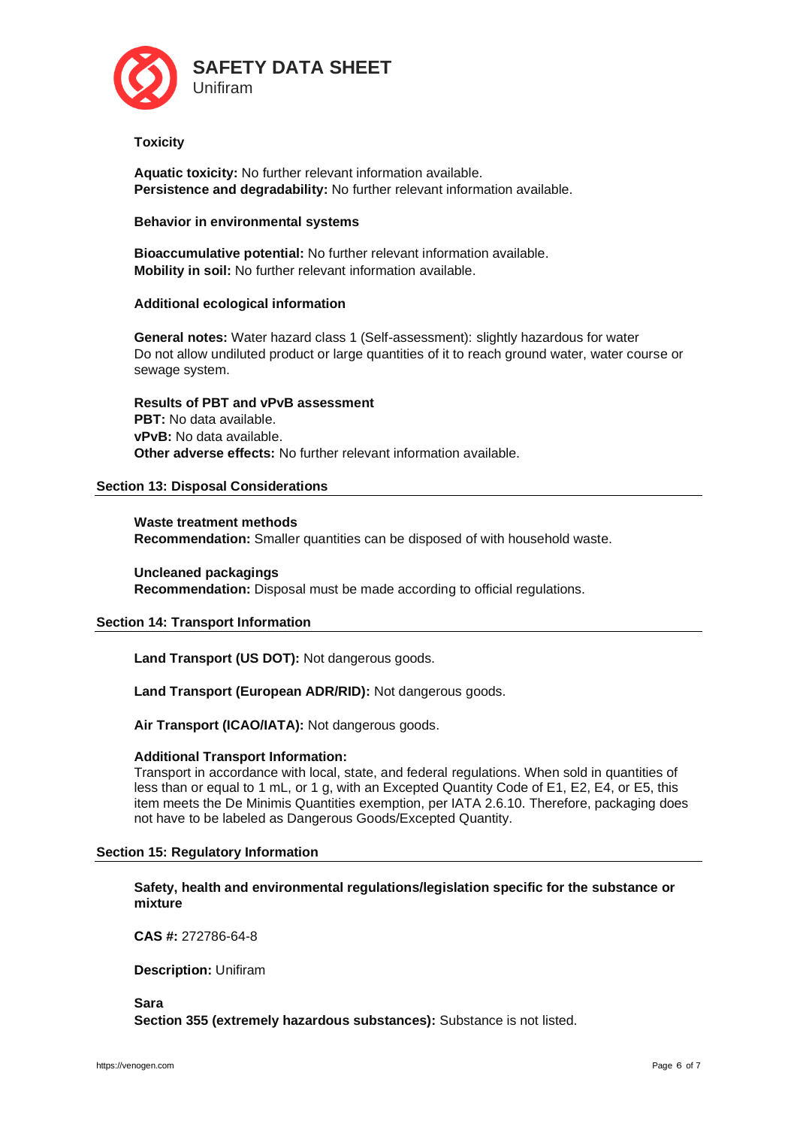

## **Toxicity**

**Aquatic toxicity:** No further relevant information available. **Persistence and degradability:** No further relevant information available.

## **Behavior in environmental systems**

**Bioaccumulative potential:** No further relevant information available. **Mobility in soil:** No further relevant information available.

# **Additional ecological information**

**General notes:** Water hazard class 1 (Self-assessment): slightly hazardous for water Do not allow undiluted product or large quantities of it to reach ground water, water course or sewage system.

**Results of PBT and vPvB assessment PBT:** No data available. **vPvB:** No data available. **Other adverse effects:** No further relevant information available.

# **Section 13: Disposal Considerations**

**Waste treatment methods Recommendation:** Smaller quantities can be disposed of with household waste.

**Uncleaned packagings Recommendation:** Disposal must be made according to official regulations.

## **Section 14: Transport Information**

**Land Transport (US DOT):** Not dangerous goods.

**Land Transport (European ADR/RID):** Not dangerous goods.

**Air Transport (ICAO/IATA):** Not dangerous goods.

## **Additional Transport Information:**

Transport in accordance with local, state, and federal regulations. When sold in quantities of less than or equal to 1 mL, or 1 g, with an Excepted Quantity Code of E1, E2, E4, or E5, this item meets the De Minimis Quantities exemption, per IATA 2.6.10. Therefore, packaging does not have to be labeled as Dangerous Goods/Excepted Quantity.

## **Section 15: Regulatory Information**

**Safety, health and environmental regulations/legislation specific for the substance or mixture**

**CAS #:** 272786-64-8

**Description:** Unifiram

**Sara Section 355 (extremely hazardous substances):** Substance is not listed.